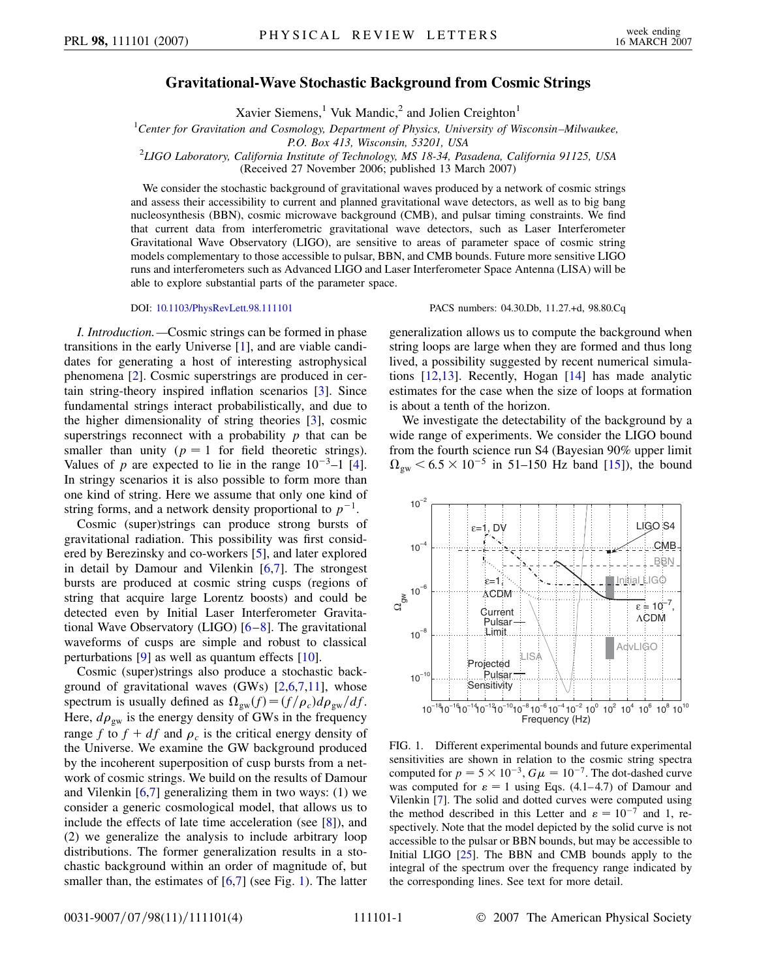## **Gravitational-Wave Stochastic Background from Cosmic Strings**

Xavier Siemens,<sup>1</sup> Vuk Mandic,<sup>2</sup> and Jolien Creighton<sup>1</sup>

1 *Center for Gravitation and Cosmology, Department of Physics, University of Wisconsin–Milwaukee,*

*P.O. Box 413, Wisconsin, 53201, USA* <sup>2</sup> *LIGO Laboratory, California Institute of Technology, MS 18-34, Pasadena, California 91125, USA*

(Received 27 November 2006; published 13 March 2007)

We consider the stochastic background of gravitational waves produced by a network of cosmic strings and assess their accessibility to current and planned gravitational wave detectors, as well as to big bang nucleosynthesis (BBN), cosmic microwave background (CMB), and pulsar timing constraints. We find that current data from interferometric gravitational wave detectors, such as Laser Interferometer Gravitational Wave Observatory (LIGO), are sensitive to areas of parameter space of cosmic string models complementary to those accessible to pulsar, BBN, and CMB bounds. Future more sensitive LIGO runs and interferometers such as Advanced LIGO and Laser Interferometer Space Antenna (LISA) will be able to explore substantial parts of the parameter space.

*I. Introduction.—*Cosmic strings can be formed in phase transitions in the early Universe [[1](#page-3-0)], and are viable candidates for generating a host of interesting astrophysical phenomena [\[2](#page-3-1)]. Cosmic superstrings are produced in certain string-theory inspired inflation scenarios [\[3\]](#page-3-2). Since fundamental strings interact probabilistically, and due to the higher dimensionality of string theories [\[3\]](#page-3-2), cosmic superstrings reconnect with a probability *p* that can be smaller than unity ( $p = 1$  for field theoretic strings). Values of  $p$  are expected to lie in the range  $10^{-3}$ –1 [[4\]](#page-3-3). In stringy scenarios it is also possible to form more than one kind of string. Here we assume that only one kind of string forms, and a network density proportional to  $p^{-1}$ .

Cosmic (super)strings can produce strong bursts of gravitational radiation. This possibility was first considered by Berezinsky and co-workers [[5](#page-3-4)], and later explored in detail by Damour and Vilenkin [[6](#page-3-5)[,7\]](#page-3-6). The strongest bursts are produced at cosmic string cusps (regions of string that acquire large Lorentz boosts) and could be detected even by Initial Laser Interferometer Gravitational Wave Observatory (LIGO) [\[6](#page-3-5)–[8\]](#page-3-7). The gravitational waveforms of cusps are simple and robust to classical perturbations  $[9]$  $[9]$  as well as quantum effects  $[10]$ .

Cosmic (super)strings also produce a stochastic background of gravitational waves  $(GWs)$   $[2,6,7,11]$  $[2,6,7,11]$  $[2,6,7,11]$  $[2,6,7,11]$  $[2,6,7,11]$  $[2,6,7,11]$ , whose spectrum is usually defined as  $\Omega_{gw}(f) = (f/\rho_c)d\rho_{gw}/df$ . Here,  $d\rho_{gw}$  is the energy density of GWs in the frequency range *f* to  $f + df$  and  $\rho_c$  is the critical energy density of the Universe. We examine the GW background produced by the incoherent superposition of cusp bursts from a network of cosmic strings. We build on the results of Damour and Vilenkin [\[6](#page-3-5),[7](#page-3-6)] generalizing them in two ways: (1) we consider a generic cosmological model, that allows us to include the effects of late time acceleration (see [[8](#page-3-7)]), and (2) we generalize the analysis to include arbitrary loop distributions. The former generalization results in a stochastic background within an order of magnitude of, but smaller than, the estimates of  $[6,7]$  $[6,7]$  $[6,7]$  (see Fig. [1\)](#page-0-0). The latter

DOI: [10.1103/PhysRevLett.98.111101](http://dx.doi.org/10.1103/PhysRevLett.98.111101) PACS numbers: 04.30.Db, 11.27.+d, 98.80.Cq

generalization allows us to compute the background when string loops are large when they are formed and thus long lived, a possibility suggested by recent numerical simulations [\[12,](#page-3-11)[13\]](#page-3-12). Recently, Hogan [\[14\]](#page-3-13) has made analytic estimates for the case when the size of loops at formation is about a tenth of the horizon.

We investigate the detectability of the background by a wide range of experiments. We consider the LIGO bound from the fourth science run S4 (Bayesian 90% upper limit  $\Omega_{\rm gw}$  < 6.5 × 10<sup>-5</sup> in 51–150 Hz band [\[15](#page-3-14)]), the bound

<span id="page-0-0"></span>

FIG. 1. Different experimental bounds and future experimental sensitivities are shown in relation to the cosmic string spectra computed for  $p = 5 \times 10^{-3}$ ,  $G\mu = 10^{-7}$ . The dot-dashed curve was computed for  $\varepsilon = 1$  using Eqs. (4.1–4.7) of Damour and Vilenkin [[7\]](#page-3-6). The solid and dotted curves were computed using the method described in this Letter and  $\varepsilon = 10^{-7}$  and 1, respectively. Note that the model depicted by the solid curve is not accessible to the pulsar or BBN bounds, but may be accessible to Initial LIGO  $[25]$  $[25]$ . The BBN and CMB bounds apply to the integral of the spectrum over the frequency range indicated by the corresponding lines. See text for more detail.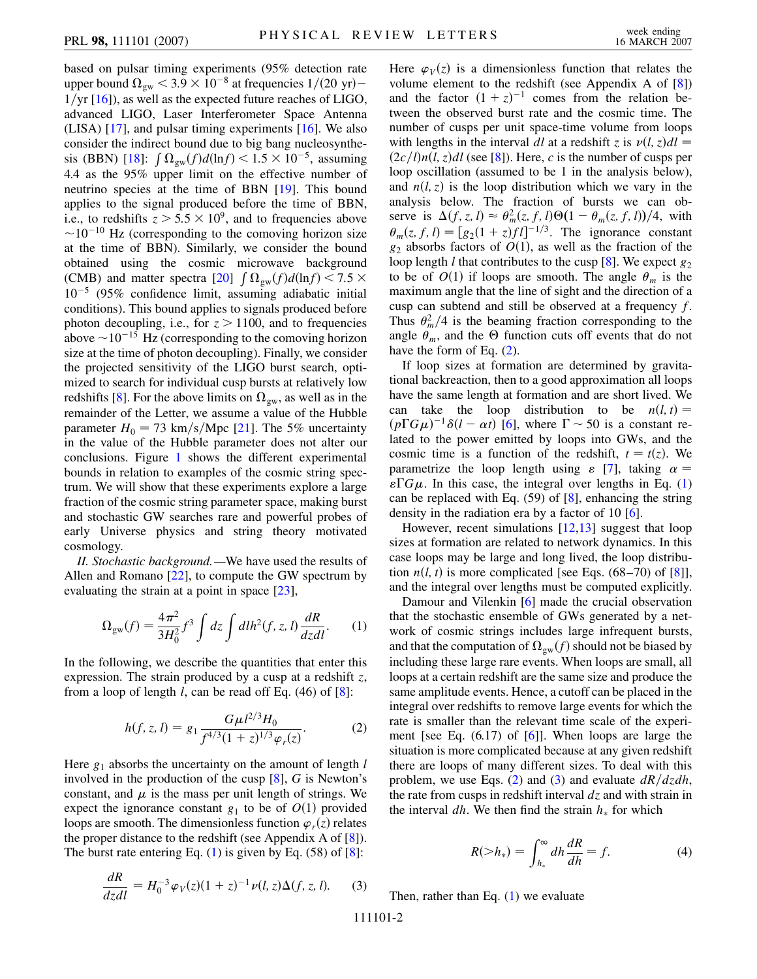based on pulsar timing experiments (95% detection rate upper bound  $\Omega_{\rm gw}$   $<$  3.9  $\times$  10<sup>-8</sup> at frequencies 1/(20 yr)– 1/yr [\[16](#page-3-16)]), as well as the expected future reaches of LIGO, advanced LIGO, Laser Interferometer Space Antenna (LISA) [[17](#page-3-17)], and pulsar timing experiments [[16](#page-3-16)]. We also consider the indirect bound due to big bang nucleosynthe-sis (BBN) [\[18\]](#page-3-18):  $\int \Omega_{gw}(f) d(\ln f) < 1.5 \times 10^{-5}$ , assuming 4.4 as the 95% upper limit on the effective number of neutrino species at the time of BBN [[19](#page-3-19)]. This bound applies to the signal produced before the time of BBN, i.e., to redshifts  $z > 5.5 \times 10^9$ , and to frequencies above  $\sim$ 10<sup>-10</sup> Hz (corresponding to the comoving horizon size at the time of BBN). Similarly, we consider the bound obtained using the cosmic microwave background (CMB) and matter spectra [\[20\]](#page-3-20)  $\int \Omega_{gw}(f) d(\ln f) < 7.5 \times$ 10-<sup>5</sup> (95% confidence limit, assuming adiabatic initial conditions). This bound applies to signals produced before photon decoupling, i.e., for  $z > 1100$ , and to frequencies above  $\sim$  10<sup>-15</sup> Hz (corresponding to the comoving horizon size at the time of photon decoupling). Finally, we consider the projected sensitivity of the LIGO burst search, optimized to search for individual cusp bursts at relatively low redshifts [\[8](#page-3-7)]. For the above limits on  $\Omega_{\rm gw}$ , as well as in the remainder of the Letter, we assume a value of the Hubble parameter  $H_0 = 73 \text{ km/s/Mpc}$  [\[21\]](#page-3-21). The 5% uncertainty in the value of the Hubble parameter does not alter our conclusions. Figure [1](#page-0-0) shows the different experimental bounds in relation to examples of the cosmic string spectrum. We will show that these experiments explore a large fraction of the cosmic string parameter space, making burst and stochastic GW searches rare and powerful probes of early Universe physics and string theory motivated cosmology.

<span id="page-1-0"></span>*II. Stochastic background.—*We have used the results of Allen and Romano [[22](#page-3-22)], to compute the GW spectrum by evaluating the strain at a point in space [[23\]](#page-3-23),

$$
\Omega_{\rm gw}(f) = \frac{4\pi^2}{3H_0^2} f^3 \int dz \int dl h^2(f, z, l) \frac{dR}{dzdl}.
$$
 (1)

<span id="page-1-1"></span>In the following, we describe the quantities that enter this expression. The strain produced by a cusp at a redshift *z*, from a loop of length *l*, can be read off Eq. (46) of [\[8\]](#page-3-7):

$$
h(f, z, l) = g_1 \frac{G\mu l^{2/3} H_0}{f^{4/3} (1+z)^{1/3} \varphi_r(z)}.
$$
 (2)

Here  $g_1$  absorbs the uncertainty on the amount of length  $l$ involved in the production of the cusp [\[8\]](#page-3-7), *G* is Newton's constant, and  $\mu$  is the mass per unit length of strings. We expect the ignorance constant  $g_1$  to be of  $O(1)$  provided loops are smooth. The dimensionless function  $\varphi_r(z)$  relates the proper distance to the redshift (see Appendix A of  $[8]$  $[8]$ ). The burst rate entering Eq.  $(1)$  $(1)$  is given by Eq.  $(58)$  of  $[8]$  $[8]$ :

<span id="page-1-2"></span>
$$
\frac{dR}{dzdl} = H_0^{-3} \varphi_V(z) (1+z)^{-1} \nu(l, z) \Delta(f, z, l). \tag{3}
$$

Here  $\varphi_V(z)$  is a dimensionless function that relates the volume element to the redshift (see Appendix A of [[8](#page-3-7)]) and the factor  $(1 + z)^{-1}$  comes from the relation between the observed burst rate and the cosmic time. The number of cusps per unit space-time volume from loops with lengths in the interval *dl* at a redshift *z* is  $\nu(l, z)dl$  $(2c/l)n(l, z)dl$  (see [\[8\]](#page-3-7)). Here, *c* is the number of cusps per loop oscillation (assumed to be 1 in the analysis below), and  $n(l, z)$  is the loop distribution which we vary in the analysis below. The fraction of bursts we can observe is  $\Delta(f, z, l) \approx \theta_m^2(z, f, l)\Theta(1 - \theta_m(z, f, l))/4$ , with  $\theta_m(z, f, l) = \left[g_2(1 + z)f l\right]^{-1/3}$ . The ignorance constant  $g_2$  absorbs factors of  $O(1)$ , as well as the fraction of the loop length *l* that contributes to the cusp [[8](#page-3-7)]. We expect  $g_2$ to be of  $O(1)$  if loops are smooth. The angle  $\theta_m$  is the maximum angle that the line of sight and the direction of a cusp can subtend and still be observed at a frequency *f*. Thus  $\theta_m^2/4$  is the beaming fraction corresponding to the angle  $\theta_m$ , and the  $\Theta$  function cuts off events that do not have the form of Eq. [\(2\)](#page-1-1).

If loop sizes at formation are determined by gravitational backreaction, then to a good approximation all loops have the same length at formation and are short lived. We can take the loop distribution to be  $n(l, t)$  =  $(p\Gamma G\mu)^{-1}\delta(l-\alpha t)$  [\[6\]](#page-3-5), where  $\Gamma \sim 50$  is a constant related to the power emitted by loops into GWs, and the cosmic time is a function of the redshift,  $t = t(z)$ . We parametrize the loop length using  $\varepsilon$  [\[7\]](#page-3-6), taking  $\alpha =$  $\epsilon \Gamma G \mu$ . In this case, the integral over lengths in Eq. [\(1\)](#page-1-0) can be replaced with Eq. (59) of [\[8\]](#page-3-7), enhancing the string density in the radiation era by a factor of 10 [\[6](#page-3-5)].

However, recent simulations [\[12,](#page-3-11)[13\]](#page-3-12) suggest that loop sizes at formation are related to network dynamics. In this case loops may be large and long lived, the loop distribution  $n(l, t)$  is more complicated [see Eqs.  $(68-70)$  of [\[8](#page-3-7)]], and the integral over lengths must be computed explicitly.

Damour and Vilenkin [[6\]](#page-3-5) made the crucial observation that the stochastic ensemble of GWs generated by a network of cosmic strings includes large infrequent bursts, and that the computation of  $\Omega_{gw}(f)$  should not be biased by including these large rare events. When loops are small, all loops at a certain redshift are the same size and produce the same amplitude events. Hence, a cutoff can be placed in the integral over redshifts to remove large events for which the rate is smaller than the relevant time scale of the experiment [see Eq.  $(6.17)$  of [\[6\]](#page-3-5)]. When loops are large the situation is more complicated because at any given redshift there are loops of many different sizes. To deal with this problem, we use Eqs. [\(2\)](#page-1-1) and ([3\)](#page-1-2) and evaluate  $dR/dzdh$ , the rate from cusps in redshift interval *dz* and with strain in the interval  $dh$ . We then find the strain  $h_*$  for which

$$
R(>h_*) = \int_{h_*}^{\infty} dh \frac{dR}{dh} = f.
$$
 (4)

Then, rather than Eq.  $(1)$  $(1)$  we evaluate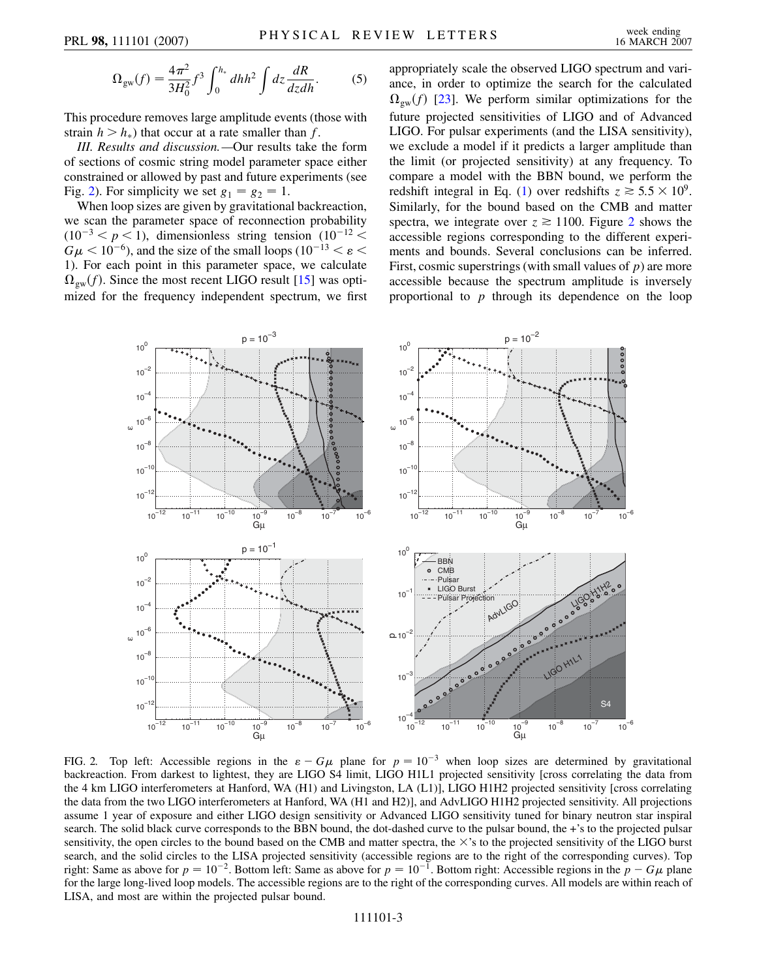$$
\Omega_{\rm gw}(f) = \frac{4\pi^2}{3H_0^2} f^3 \int_0^{h_*} dh h^2 \int dz \frac{dR}{dz dh}.
$$
 (5)

This procedure removes large amplitude events (those with strain  $h > h_*$ ) that occur at a rate smaller than *f*.

*III. Results and discussion.—*Our results take the form of sections of cosmic string model parameter space either constrained or allowed by past and future experiments (see Fig. [2\)](#page-2-0). For simplicity we set  $g_1 = g_2 = 1$ .

When loop sizes are given by gravitational backreaction, we scan the parameter space of reconnection probability  $(10^{-3} < p < 1)$ , dimensionless string tension  $(10^{-12} <$  $G\mu$  < 10<sup>-6</sup>), and the size of the small loops (10<sup>-13</sup> <  $\varepsilon$  < 1). For each point in this parameter space, we calculate  $\Omega_{gw}(f)$ . Since the most recent LIGO result [[15](#page-3-14)] was optimized for the frequency independent spectrum, we first appropriately scale the observed LIGO spectrum and variance, in order to optimize the search for the calculated  $\Omega_{\rm gw}(f)$  [[23\]](#page-3-23). We perform similar optimizations for the future projected sensitivities of LIGO and of Advanced LIGO. For pulsar experiments (and the LISA sensitivity), we exclude a model if it predicts a larger amplitude than the limit (or projected sensitivity) at any frequency. To compare a model with the BBN bound, we perform the redshift integral in Eq. ([1\)](#page-1-0) over redshifts  $z \approx 5.5 \times 10^9$ . Similarly, for the bound based on the CMB and matter spectra, we integrate over  $z \ge 1100$ . Figure [2](#page-2-0) shows the accessible regions corresponding to the different experiments and bounds. Several conclusions can be inferred. First, cosmic superstrings (with small values of *p*) are more accessible because the spectrum amplitude is inversely proportional to *p* through its dependence on the loop

<span id="page-2-0"></span>

FIG. 2. Top left: Accessible regions in the  $\varepsilon - G\mu$  plane for  $p = 10^{-3}$  when loop sizes are determined by gravitational backreaction. From darkest to lightest, they are LIGO S4 limit, LIGO H1L1 projected sensitivity [cross correlating the data from the 4 km LIGO interferometers at Hanford, WA (H1) and Livingston, LA (L1)], LIGO H1H2 projected sensitivity [cross correlating the data from the two LIGO interferometers at Hanford, WA (H1 and H2)], and AdvLIGO H1H2 projected sensitivity. All projections assume 1 year of exposure and either LIGO design sensitivity or Advanced LIGO sensitivity tuned for binary neutron star inspiral search. The solid black curve corresponds to the BBN bound, the dot-dashed curve to the pulsar bound, the +'s to the projected pulsar sensitivity, the open circles to the bound based on the CMB and matter spectra, the  $\times$ 's to the projected sensitivity of the LIGO burst search, and the solid circles to the LISA projected sensitivity (accessible regions are to the right of the corresponding curves). Top right: Same as above for  $p = 10^{-2}$ . Bottom left: Same as above for  $p = 10^{-1}$ . Bottom right: Accessible regions in the  $p - G\mu$  plane for the large long-lived loop models. The accessible regions are to the right of the corresponding curves. All models are within reach of LISA, and most are within the projected pulsar bound.